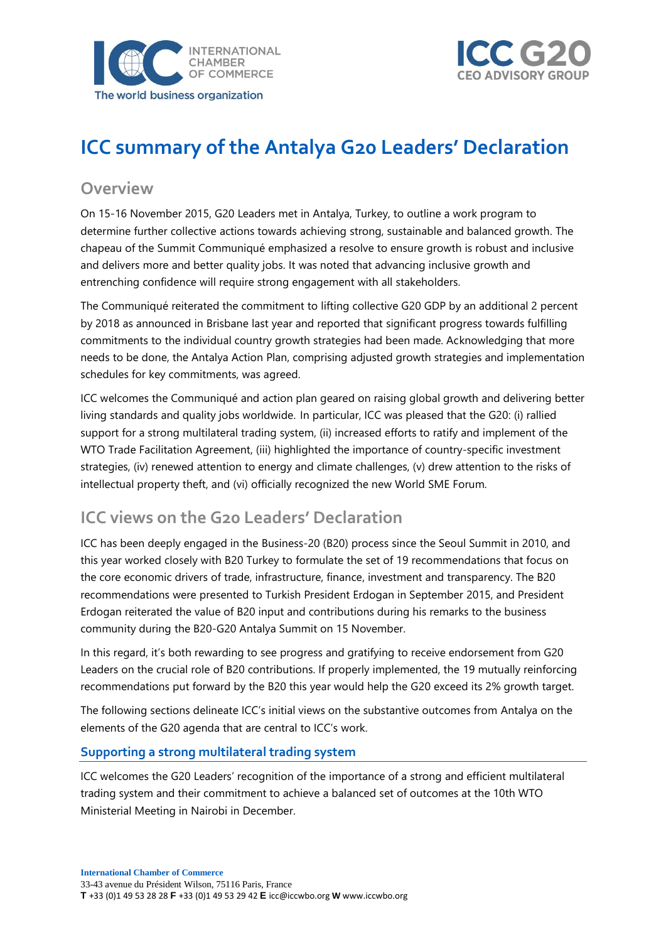



# **ICC summary of the Antalya G20 Leaders' Declaration**

### **Overview**

On 15-16 November 2015, G20 Leaders met in Antalya, Turkey, to outline a work program to determine further collective actions towards achieving strong, sustainable and balanced growth. The chapeau of the Summit Communiqué emphasized a resolve to ensure growth is robust and inclusive and delivers more and better quality jobs. It was noted that advancing inclusive growth and entrenching confidence will require strong engagement with all stakeholders.

The Communiqué reiterated the commitment to lifting collective G20 GDP by an additional 2 percent by 2018 as announced in Brisbane last year and reported that significant progress towards fulfilling commitments to the individual country growth strategies had been made. Acknowledging that more needs to be done, the Antalya Action Plan, comprising adjusted growth strategies and implementation schedules for key commitments, was agreed.

ICC welcomes the Communiqué and action plan geared on raising global growth and delivering better living standards and quality jobs worldwide. In particular, ICC was pleased that the G20: (i) rallied support for a strong multilateral trading system, (ii) increased efforts to ratify and implement of the WTO Trade Facilitation Agreement, (iii) highlighted the importance of country-specific investment strategies, (iv) renewed attention to energy and climate challenges, (v) drew attention to the risks of intellectual property theft, and (vi) officially recognized the new World SME Forum.

## **ICC views on the G20 Leaders' Declaration**

ICC has been deeply engaged in the Business-20 (B20) process since the Seoul Summit in 2010, and this year worked closely with B20 Turkey to formulate the set of 19 recommendations that focus on the core economic drivers of trade, infrastructure, finance, investment and transparency. The B20 recommendations were presented to Turkish President Erdogan in September 2015, and President Erdogan reiterated the value of B20 input and contributions during his remarks to the business community during the B20-G20 Antalya Summit on 15 November.

In this regard, it's both rewarding to see progress and gratifying to receive endorsement from G20 Leaders on the crucial role of B20 contributions. If properly implemented, the 19 mutually reinforcing recommendations put forward by the B20 this year would help the G20 exceed its 2% growth target.

The following sections delineate ICC's initial views on the substantive outcomes from Antalya on the elements of the G20 agenda that are central to ICC's work.

#### **Supporting a strong multilateral trading system**

ICC welcomes the G20 Leaders' recognition of the importance of a strong and efficient multilateral trading system and their commitment to achieve a balanced set of outcomes at the 10th WTO Ministerial Meeting in Nairobi in December.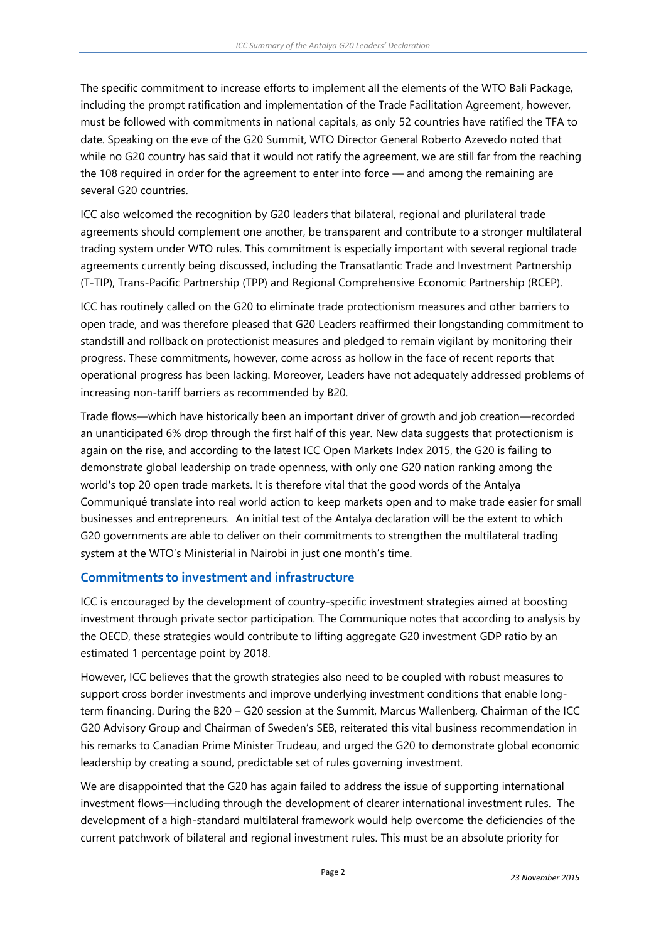The specific commitment to increase efforts to implement all the elements of the WTO Bali Package, including the prompt ratification and implementation of the Trade Facilitation Agreement, however, must be followed with commitments in national capitals, as only 52 countries have ratified the TFA to date. Speaking on the eve of the G20 Summit, WTO Director General Roberto Azevedo noted that while no G20 country has said that it would not ratify the agreement, we are still far from the reaching the 108 required in order for the agreement to enter into force — and among the remaining are several G20 countries.

ICC also welcomed the recognition by G20 leaders that bilateral, regional and plurilateral trade agreements should complement one another, be transparent and contribute to a stronger multilateral trading system under WTO rules. This commitment is especially important with several regional trade agreements currently being discussed, including the Transatlantic Trade and Investment Partnership (T-TIP), Trans-Pacific Partnership (TPP) and Regional Comprehensive Economic Partnership (RCEP).

ICC has routinely called on the G20 to eliminate trade protectionism measures and other barriers to open trade, and was therefore pleased that G20 Leaders reaffirmed their longstanding commitment to standstill and rollback on protectionist measures and pledged to remain vigilant by monitoring their progress. These commitments, however, come across as hollow in the face of recent reports that operational progress has been lacking. Moreover, Leaders have not adequately addressed problems of increasing non-tariff barriers as recommended by B20.

Trade flows—which have historically been an important driver of growth and job creation—recorded an unanticipated 6% drop through the first half of this year. New data suggests that protectionism is again on the rise, and according to the latest ICC Open Markets Index 2015, the G20 is failing to demonstrate global leadership on trade openness, with only one G20 nation ranking among the world's top 20 open trade markets. It is therefore vital that the good words of the Antalya Communiqué translate into real world action to keep markets open and to make trade easier for small businesses and entrepreneurs. An initial test of the Antalya declaration will be the extent to which G20 governments are able to deliver on their commitments to strengthen the multilateral trading system at the WTO's Ministerial in Nairobi in just one month's time.

#### **Commitments to investment and infrastructure**

ICC is encouraged by the development of country-specific investment strategies aimed at boosting investment through private sector participation. The Communique notes that according to analysis by the OECD, these strategies would contribute to lifting aggregate G20 investment GDP ratio by an estimated 1 percentage point by 2018.

However, ICC believes that the growth strategies also need to be coupled with robust measures to support cross border investments and improve underlying investment conditions that enable longterm financing. During the B20 – G20 session at the Summit, Marcus Wallenberg, Chairman of the ICC G20 Advisory Group and Chairman of Sweden's SEB, reiterated this vital business recommendation in his remarks to Canadian Prime Minister Trudeau, and urged the G20 to demonstrate global economic leadership by creating a sound, predictable set of rules governing investment.

We are disappointed that the G20 has again failed to address the issue of supporting international investment flows—including through the development of clearer international investment rules. The development of a high-standard multilateral framework would help overcome the deficiencies of the current patchwork of bilateral and regional investment rules. This must be an absolute priority for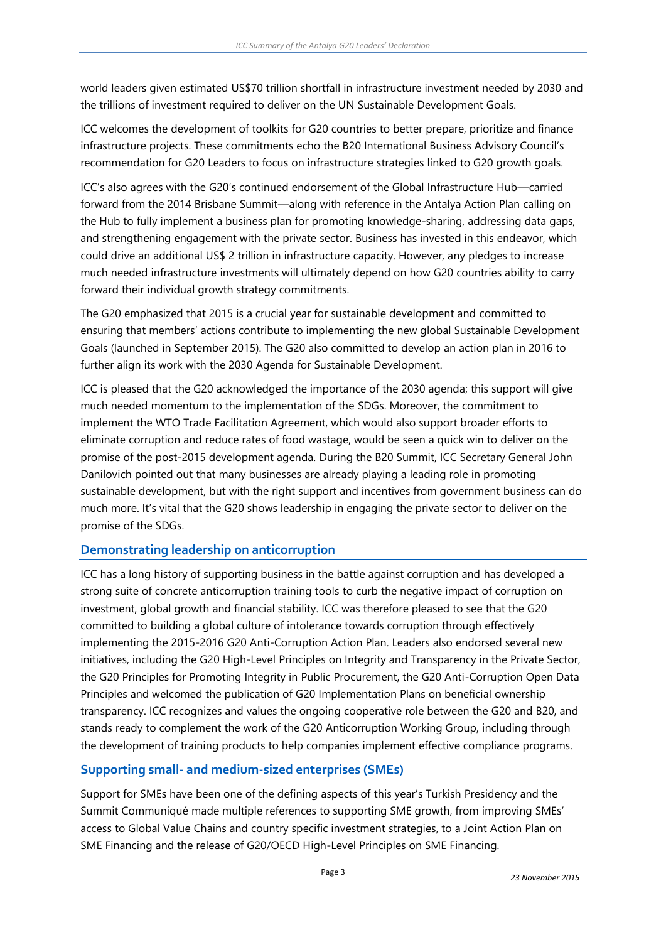world leaders given estimated US\$70 trillion shortfall in infrastructure investment needed by 2030 and the trillions of investment required to deliver on the UN Sustainable Development Goals.

ICC welcomes the development of toolkits for G20 countries to better prepare, prioritize and finance infrastructure projects. These commitments echo the B20 International Business Advisory Council's recommendation for G20 Leaders to focus on infrastructure strategies linked to G20 growth goals.

ICC's also agrees with the G20's continued endorsement of the Global Infrastructure Hub—carried forward from the 2014 Brisbane Summit—along with reference in the Antalya Action Plan calling on the Hub to fully implement a business plan for promoting knowledge-sharing, addressing data gaps, and strengthening engagement with the private sector. Business has invested in this endeavor, which could drive an additional US\$ 2 trillion in infrastructure capacity. However, any pledges to increase much needed infrastructure investments will ultimately depend on how G20 countries ability to carry forward their individual growth strategy commitments.

The G20 emphasized that 2015 is a crucial year for sustainable development and committed to ensuring that members' actions contribute to implementing the new global Sustainable Development Goals (launched in September 2015). The G20 also committed to develop an action plan in 2016 to further align its work with the 2030 Agenda for Sustainable Development.

ICC is pleased that the G20 acknowledged the importance of the 2030 agenda; this support will give much needed momentum to the implementation of the SDGs. Moreover, the commitment to implement the WTO Trade Facilitation Agreement, which would also support broader efforts to eliminate corruption and reduce rates of food wastage, would be seen a quick win to deliver on the promise of the post-2015 development agenda. During the B20 Summit, ICC Secretary General John Danilovich pointed out that many businesses are already playing a leading role in promoting sustainable development, but with the right support and incentives from government business can do much more. It's vital that the G20 shows leadership in engaging the private sector to deliver on the promise of the SDGs.

#### **Demonstrating leadership on anticorruption**

ICC has a long history of supporting business in the battle against corruption and has developed a strong suite of concrete anticorruption training tools to curb the negative impact of corruption on investment, global growth and financial stability. ICC was therefore pleased to see that the G20 committed to building a global culture of intolerance towards corruption through effectively implementing the 2015-2016 G20 Anti-Corruption Action Plan. Leaders also endorsed several new initiatives, including the G20 High-Level Principles on Integrity and Transparency in the Private Sector, the G20 Principles for Promoting Integrity in Public Procurement, the G20 Anti-Corruption Open Data Principles and welcomed the publication of G20 Implementation Plans on beneficial ownership transparency. ICC recognizes and values the ongoing cooperative role between the G20 and B20, and stands ready to complement the work of the G20 Anticorruption Working Group, including through the development of training products to help companies implement effective compliance programs.

#### **Supporting small- and medium-sized enterprises (SMEs)**

Support for SMEs have been one of the defining aspects of this year's Turkish Presidency and the Summit Communiqué made multiple references to supporting SME growth, from improving SMEs' access to Global Value Chains and country specific investment strategies, to a Joint Action Plan on SME Financing and the release of G20/OECD High-Level Principles on SME Financing.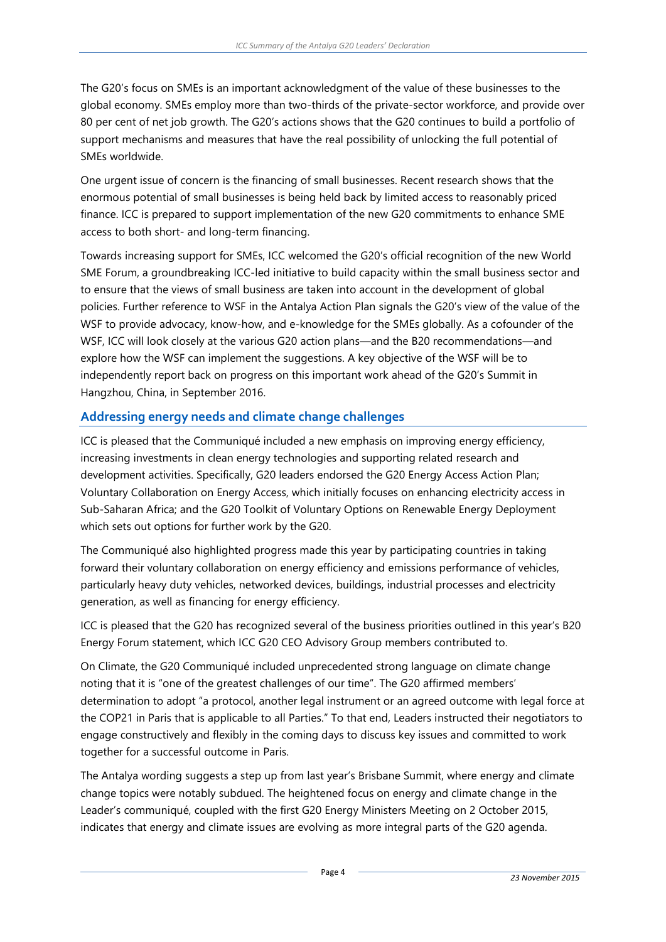The G20's focus on SMEs is an important acknowledgment of the value of these businesses to the global economy. SMEs employ more than two-thirds of the private-sector workforce, and provide over 80 per cent of net job growth. The G20's actions shows that the G20 continues to build a portfolio of support mechanisms and measures that have the real possibility of unlocking the full potential of SMEs worldwide.

One urgent issue of concern is the financing of small businesses. Recent research shows that the enormous potential of small businesses is being held back by limited access to reasonably priced finance. ICC is prepared to support implementation of the new G20 commitments to enhance SME access to both short- and long-term financing.

Towards increasing support for SMEs, ICC welcomed the G20's official recognition of the new World SME Forum, a groundbreaking ICC-led initiative to build capacity within the small business sector and to ensure that the views of small business are taken into account in the development of global policies. Further reference to WSF in the Antalya Action Plan signals the G20's view of the value of the WSF to provide advocacy, know-how, and e-knowledge for the SMEs globally. As a cofounder of the WSF, ICC will look closely at the various G20 action plans—and the B20 recommendations—and explore how the WSF can implement the suggestions. A key objective of the WSF will be to independently report back on progress on this important work ahead of the G20's Summit in Hangzhou, China, in September 2016.

#### **Addressing energy needs and climate change challenges**

ICC is pleased that the Communiqué included a new emphasis on improving energy efficiency, increasing investments in clean energy technologies and supporting related research and development activities. Specifically, G20 leaders endorsed the G20 Energy Access Action Plan; Voluntary Collaboration on Energy Access, which initially focuses on enhancing electricity access in Sub-Saharan Africa; and the G20 Toolkit of Voluntary Options on Renewable Energy Deployment which sets out options for further work by the G20.

The Communiqué also highlighted progress made this year by participating countries in taking forward their voluntary collaboration on energy efficiency and emissions performance of vehicles, particularly heavy duty vehicles, networked devices, buildings, industrial processes and electricity generation, as well as financing for energy efficiency.

ICC is pleased that the G20 has recognized several of the business priorities outlined in this year's B20 Energy Forum statement, which ICC G20 CEO Advisory Group members contributed to.

On Climate, the G20 Communiqué included unprecedented strong language on climate change noting that it is "one of the greatest challenges of our time". The G20 affirmed members' determination to adopt "a protocol, another legal instrument or an agreed outcome with legal force at the COP21 in Paris that is applicable to all Parties." To that end, Leaders instructed their negotiators to engage constructively and flexibly in the coming days to discuss key issues and committed to work together for a successful outcome in Paris.

The Antalya wording suggests a step up from last year's Brisbane Summit, where energy and climate change topics were notably subdued. The heightened focus on energy and climate change in the Leader's communiqué, coupled with the first G20 Energy Ministers Meeting on 2 October 2015, indicates that energy and climate issues are evolving as more integral parts of the G20 agenda.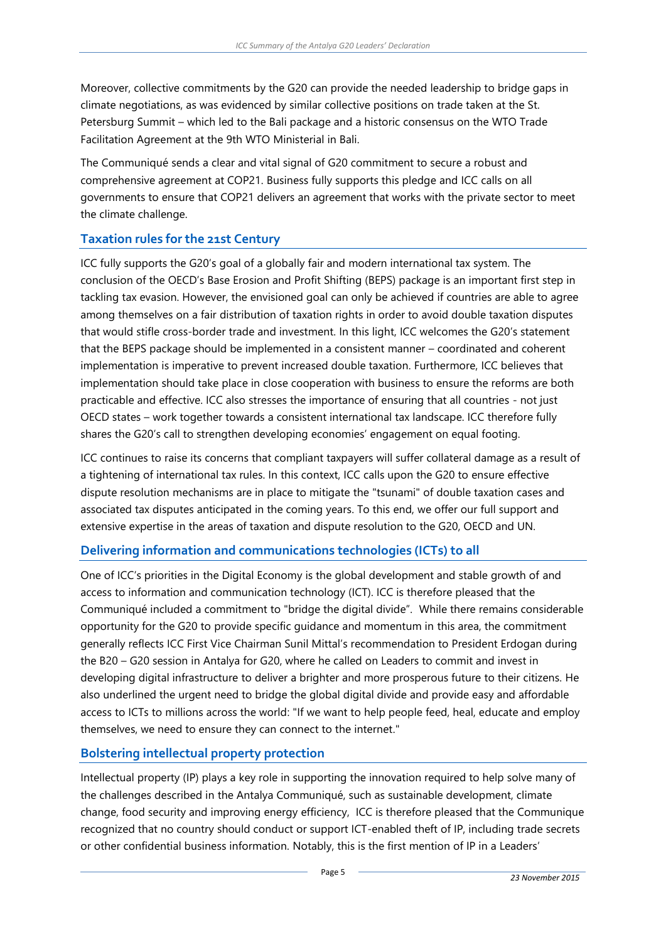Moreover, collective commitments by the G20 can provide the needed leadership to bridge gaps in climate negotiations, as was evidenced by similar collective positions on trade taken at the St. Petersburg Summit – which led to the Bali package and a historic consensus on the WTO Trade Facilitation Agreement at the 9th WTO Ministerial in Bali.

The Communiqué sends a clear and vital signal of G20 commitment to secure a robust and comprehensive agreement at COP21. Business fully supports this pledge and ICC calls on all governments to ensure that COP21 delivers an agreement that works with the private sector to meet the climate challenge.

#### **Taxation rules for the 21st Century**

ICC fully supports the G20's goal of a globally fair and modern international tax system. The conclusion of the OECD's Base Erosion and Profit Shifting (BEPS) package is an important first step in tackling tax evasion. However, the envisioned goal can only be achieved if countries are able to agree among themselves on a fair distribution of taxation rights in order to avoid double taxation disputes that would stifle cross-border trade and investment. In this light, ICC welcomes the G20's statement that the BEPS package should be implemented in a consistent manner – coordinated and coherent implementation is imperative to prevent increased double taxation. Furthermore, ICC believes that implementation should take place in close cooperation with business to ensure the reforms are both practicable and effective. ICC also stresses the importance of ensuring that all countries - not just OECD states – work together towards a consistent international tax landscape. ICC therefore fully shares the G20's call to strengthen developing economies' engagement on equal footing.

ICC continues to raise its concerns that compliant taxpayers will suffer collateral damage as a result of a tightening of international tax rules. In this context, ICC calls upon the G20 to ensure effective dispute resolution mechanisms are in place to mitigate the "tsunami" of double taxation cases and associated tax disputes anticipated in the coming years. To this end, we offer our full support and extensive expertise in the areas of taxation and dispute resolution to the G20, OECD and UN*.* 

#### **Delivering information and communications technologies (ICTs) to all**

One of ICC's priorities in the Digital Economy is the global development and stable growth of and access to information and communication technology (ICT). ICC is therefore pleased that the Communiqué included a commitment to "bridge the digital divide". While there remains considerable opportunity for the G20 to provide specific guidance and momentum in this area, the commitment generally reflects ICC First Vice Chairman Sunil Mittal's recommendation to President Erdogan during the B20 – G20 session in Antalya for G20, where he called on Leaders to commit and invest in developing digital infrastructure to deliver a brighter and more prosperous future to their citizens. He also underlined the urgent need to bridge the global digital divide and provide easy and affordable access to ICTs to millions across the world: "If we want to help people feed, heal, educate and employ themselves, we need to ensure they can connect to the internet."

#### **Bolstering intellectual property protection**

Intellectual property (IP) plays a key role in supporting the innovation required to help solve many of the challenges described in the Antalya Communiqué, such as sustainable development, climate change, food security and improving energy efficiency, ICC is therefore pleased that the Communique recognized that no country should conduct or support ICT-enabled theft of IP, including trade secrets or other confidential business information. Notably, this is the first mention of IP in a Leaders'